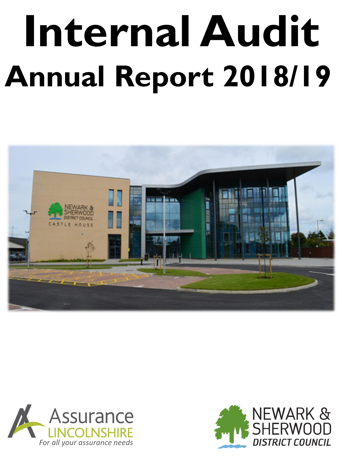# **Internal Audit Annual Report 2018/19**





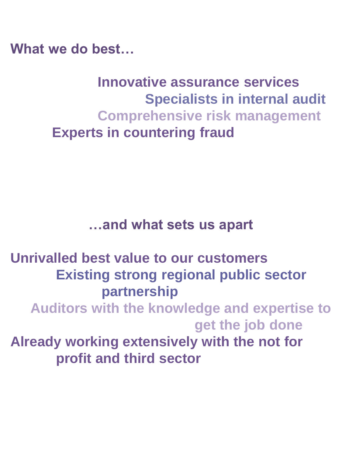**What we do best…**

**Innovative assurance services Specialists in internal audit Comprehensive risk management Experts in countering fraud**

**…and what sets us apart**

**Unrivalled best value to our customers Existing strong regional public sector partnership Auditors with the knowledge and expertise to get the job done Already working extensively with the not for profit and third sector**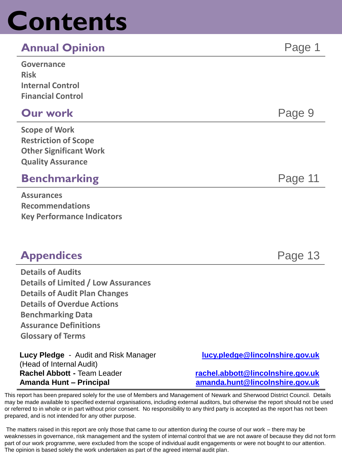## **Contents**

#### **Annual Opinion Page 1**

| <b>Governance</b>        |
|--------------------------|
| <b>Risk</b>              |
| <b>Internal Control</b>  |
| <b>Financial Control</b> |

#### **Our work** Page 9

**Scope of Work Restriction of Scope Other Significant Work Quality Assurance**

#### **Benchmarking** Page 11

**Assurances Recommendations Key Performance Indicators**

#### **Appendices** Page 13

**Details of Audits Details of Limited / Low Assurances Details of Audit Plan Changes Details of Overdue Actions Benchmarking Data Assurance Definitions Glossary of Terms**

**Lucy Pledge** - Audit and Risk Manager (Head of Internal Audit) **Rachel Abbott -** Team Leader **Amanda Hunt – Principal**

**[lucy.pledge@lincolnshire.gov.uk](mailto:lucy.pledge@lincolnshire.gov.uk)**

#### **[rachel.abbott@lincolnshire.gov.uk](mailto:rachel.abbott@lincolnshire.gov.uk) [amanda.hunt@lincolnshire.gov.uk](mailto:amanda.hunt@lincolnshire.gov.uk)**

This report has been prepared solely for the use of Members and Management of Newark and Sherwood District Council. Details may be made available to specified external organisations, including external auditors, but otherwise the report should not be used or referred to in whole or in part without prior consent. No responsibility to any third party is accepted as the report has not been prepared, and is not intended for any other purpose.

The matters raised in this report are only those that came to our attention during the course of our work – there may be weaknesses in governance, risk management and the system of internal control that we are not aware of because they did not form part of our work programme, were excluded from the scope of individual audit engagements or were not bought to our attention. The opinion is based solely the work undertaken as part of the agreed internal audit plan.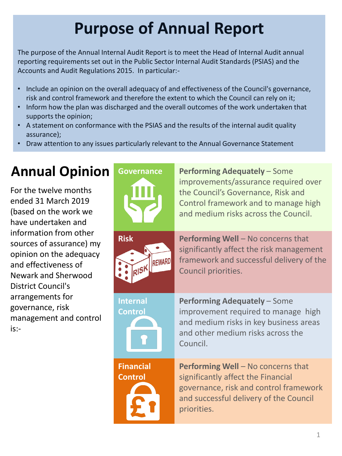#### **Purpose of Annual Report**

The purpose of the Annual Internal Audit Report is to meet the Head of Internal Audit annual reporting requirements set out in the Public Sector Internal Audit Standards (PSIAS) and the Accounts and Audit Regulations 2015. In particular:-

- Include an opinion on the overall adequacy of and effectiveness of the Council's governance, risk and control framework and therefore the extent to which the Council can rely on it;
- Inform how the plan was discharged and the overall outcomes of the work undertaken that supports the opinion;
- A statement on conformance with the PSIAS and the results of the internal audit quality assurance);
- Draw attention to any issues particularly relevant to the Annual Governance Statement

For the twelve months ended 31 March 2019 (based on the work we have undertaken and information from other sources of assurance) my opinion on the adequacy and effectiveness of Newark and Sherwood District Council's arrangements for governance, risk management and control is:-

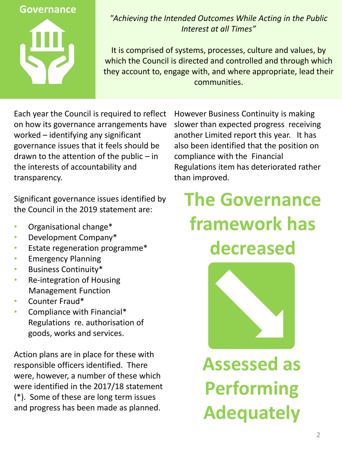# **Governance**

*"Achieving the Intended Outcomes While Acting in the Public Interest at all Times"*

It is comprised of systems, processes, culture and values, by which the Council is directed and controlled and through which they account to, engage with, and where appropriate, lead their communities.

Each year the Council is required to reflect on how its governance arrangements have worked – identifying any significant governance issues that it feels should be drawn to the attention of the public – in the interests of accountability and transparency.

Significant governance issues identified by the Council in the 2019 statement are:

- Organisational change\*
- Development Company\*
- Estate regeneration programme\*
- Emergency Planning
- Business Continuity\*
- Re-integration of Housing Management Function
- Counter Fraud\*
- Compliance with Financial\* Regulations re. authorisation of goods, works and services.

Action plans are in place for these with responsible officers identified. There were, however, a number of these which were identified in the 2017/18 statement (\*). Some of these are long term issues and progress has been made as planned.

However Business Continuity is making slower than expected progress receiving another Limited report this year. It has also been identified that the position on compliance with the Financial Regulations item has deteriorated rather than improved.

### **The Governance framework has decreased**



**Assessed as Performing Adequately**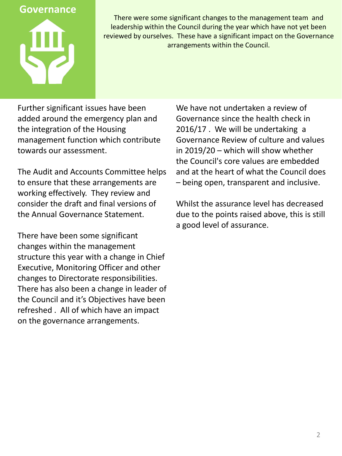#### **Governance**

There were some significant changes to the management team and leadership within the Council during the year which have not yet been reviewed by ourselves. These have a significant impact on the Governance arrangements within the Council.

Further significant issues have been added around the emergency plan and the integration of the Housing management function which contribute towards our assessment.

The Audit and Accounts Committee helps to ensure that these arrangements are working effectively. They review and consider the draft and final versions of the Annual Governance Statement.

There have been some significant changes within the management structure this year with a change in Chief Executive, Monitoring Officer and other changes to Directorate responsibilities. There has also been a change in leader of the Council and it's Objectives have been refreshed . All of which have an impact on the governance arrangements.

We have not undertaken a review of Governance since the health check in 2016/17 . We will be undertaking a Governance Review of culture and values in 2019/20 – which will show whether the Council's core values are embedded and at the heart of what the Council does – being open, transparent and inclusive.

Whilst the assurance level has decreased due to the points raised above, this is still a good level of assurance.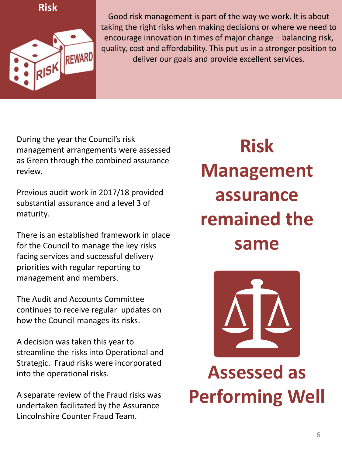



Good risk management is part of the way we work. It is about taking the right risks when making decisions or where we need to encourage innovation in times of major change – balancing risk, quality, cost and affordability. This put us in a stronger position to deliver our goals and provide excellent services.

During the year the Council's risk management arrangements were assessed as Green through the combined assurance review.

Previous audit work in 2017/18 provided substantial assurance and a level 3 of maturity.

There is an established framework in place for the Council to manage the key risks facing services and successful delivery priorities with regular reporting to management and members.

The Audit and Accounts Committee continues to receive regular updates on how the Council manages its risks.

A decision was taken this year to streamline the risks into Operational and Strategic. Fraud risks were incorporated into the operational risks.

A separate review of the Fraud risks was undertaken facilitated by the Assurance Lincolnshire Counter Fraud Team.

**Risk Management assurance remained the same**



#### **Assessed as Performing Well**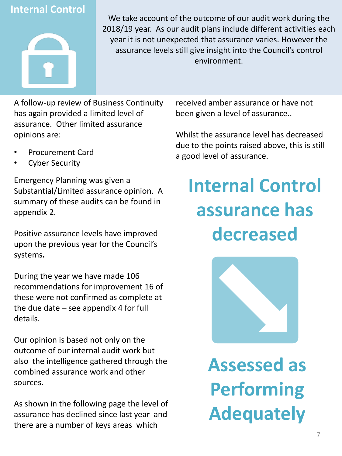#### **Internal Control**



We take account of the outcome of our audit work during the 2018/19 year. As our audit plans include different activities each year it is not unexpected that assurance varies. However the assurance levels still give insight into the Council's control environment.

A follow-up review of Business Continuity has again provided a limited level of assurance. Other limited assurance opinions are:

- Procurement Card
- **Cyber Security**

Emergency Planning was given a Substantial/Limited assurance opinion. A summary of these audits can be found in appendix 2.

Positive assurance levels have improved upon the previous year for the Council's systems**.**

During the year we have made 106 recommendations for improvement 16 of these were not confirmed as complete at the due date  $-$  see appendix 4 for full details.

Our opinion is based not only on the outcome of our internal audit work but also the intelligence gathered through the combined assurance work and other sources.

As shown in the following page the level of assurance has declined since last year and there are a number of keys areas which

received amber assurance or have not been given a level of assurance..

Whilst the assurance level has decreased due to the points raised above, this is still a good level of assurance.

### **Internal Control assurance has decreased**



**Assessed as Performing Adequately**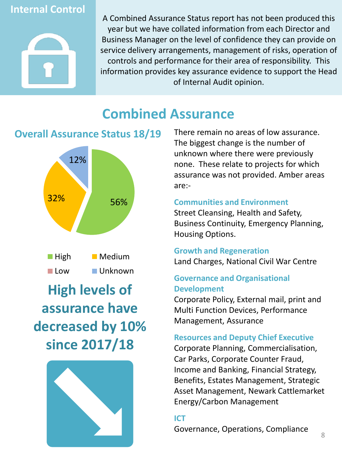#### **Internal Control**



A Combined Assurance Status report has not been produced this year but we have collated information from each Director and Business Manager on the level of confidence they can provide on service delivery arrangements, management of risks, operation of controls and performance for their area of responsibility. This information provides key assurance evidence to support the Head of Internal Audit opinion.

#### **Combined Assurance**

#### **Overall Assurance Status 18/19**



#### **assurance have decreased by 10% since 2017/18**



There remain no areas of low assurance. The biggest change is the number of unknown where there were previously none. These relate to projects for which assurance was not provided. Amber areas are:-

#### **Communities and Environment**

Street Cleansing, Health and Safety, Business Continuity, Emergency Planning, Housing Options.

#### **Growth and Regeneration**

Land Charges, National Civil War Centre

#### **Governance and Organisational Development**

Corporate Policy, External mail, print and Multi Function Devices, Performance Management, Assurance

#### **Resources and Deputy Chief Executive**

Corporate Planning, Commercialisation, Car Parks, Corporate Counter Fraud, Income and Banking, Financial Strategy, Benefits, Estates Management, Strategic Asset Management, Newark Cattlemarket Energy/Carbon Management

#### **ICT**

Governance, Operations, Compliance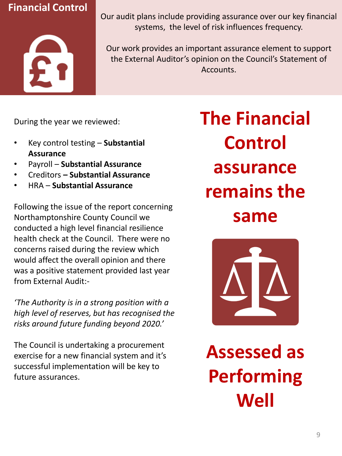#### **Financial Control**



Our audit plans include providing assurance over our key financial systems, the level of risk influences frequency.

Our work provides an important assurance element to support the External Auditor's opinion on the Council's Statement of Accounts.

During the year we reviewed:

- Key control testing **Substantial Assurance**
- Payroll **Substantial Assurance**
- Creditors **– Substantial Assurance**
- HRA **Substantial Assurance**

Following the issue of the report concerning Northamptonshire County Council we conducted a high level financial resilience health check at the Council. There were no concerns raised during the review which would affect the overall opinion and there was a positive statement provided last year from External Audit:-

*'The Authority is in a strong position with a high level of reserves, but has recognised the risks around future funding beyond 2020.'*

The Council is undertaking a procurement exercise for a new financial system and it's successful implementation will be key to future assurances.

**The Financial Control assurance remains the same**



**Assessed as Performing Well**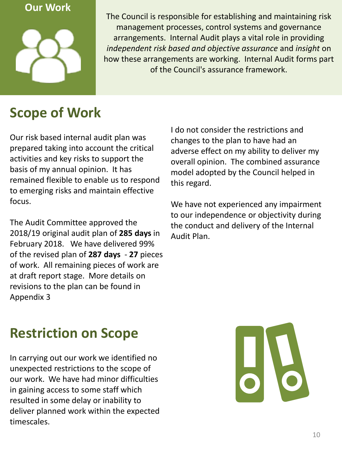#### **Our Work**



The Council is responsible for establishing and maintaining risk management processes, control systems and governance arrangements. Internal Audit plays a vital role in providing *independent risk based and objective assurance* and *insight* on how these arrangements are working. Internal Audit forms part of the Council's assurance framework.

#### **Scope of Work**

Our risk based internal audit plan was prepared taking into account the critical activities and key risks to support the basis of my annual opinion. It has remained flexible to enable us to respond to emerging risks and maintain effective focus.

The Audit Committee approved the 2018/19 original audit plan of **285 days** in February 2018. We have delivered 99% of the revised plan of **287 days** - **27** pieces of work. All remaining pieces of work are at draft report stage. More details on revisions to the plan can be found in Appendix 3

I do not consider the restrictions and changes to the plan to have had an adverse effect on my ability to deliver my overall opinion. The combined assurance model adopted by the Council helped in this regard.

We have not experienced any impairment to our independence or objectivity during the conduct and delivery of the Internal Audit Plan.

#### **Restriction on Scope**

In carrying out our work we identified no unexpected restrictions to the scope of our work. We have had minor difficulties in gaining access to some staff which resulted in some delay or inability to deliver planned work within the expected timescales.

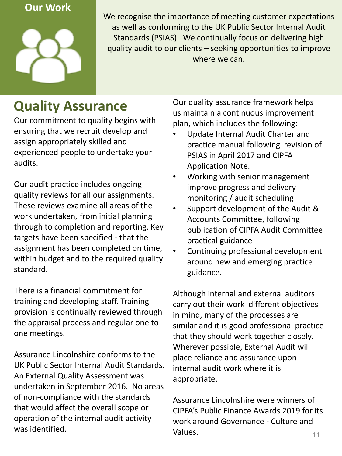#### **Our Work**



We recognise the importance of meeting customer expectations as well as conforming to the UK Public Sector Internal Audit Standards (PSIAS). We continually focus on delivering high quality audit to our clients – seeking opportunities to improve where we can.

#### **Quality Assurance**

Our commitment to quality begins with ensuring that we recruit develop and assign appropriately skilled and experienced people to undertake your audits.

Our audit practice includes ongoing quality reviews for all our assignments. These reviews examine all areas of the work undertaken, from initial planning through to completion and reporting. Key targets have been specified - that the assignment has been completed on time, within budget and to the required quality standard.

There is a financial commitment for training and developing staff. Training provision is continually reviewed through the appraisal process and regular one to one meetings.

Assurance Lincolnshire conforms to the UK Public Sector Internal Audit Standards. An External Quality Assessment was undertaken in September 2016. No areas of non-compliance with the standards that would affect the overall scope or operation of the internal audit activity was identified.

Our quality assurance framework helps us maintain a continuous improvement plan, which includes the following:

- Update Internal Audit Charter and practice manual following revision of PSIAS in April 2017 and CIPFA Application Note.
- Working with senior management improve progress and delivery monitoring / audit scheduling
- Support development of the Audit & Accounts Committee, following publication of CIPFA Audit Committee practical guidance
- Continuing professional development around new and emerging practice guidance.

Although internal and external auditors carry out their work different objectives in mind, many of the processes are similar and it is good professional practice that they should work together closely. Wherever possible, External Audit will place reliance and assurance upon internal audit work where it is appropriate.

Assurance Lincolnshire were winners of CIPFA's Public Finance Awards 2019 for its work around Governance - Culture and Values. 11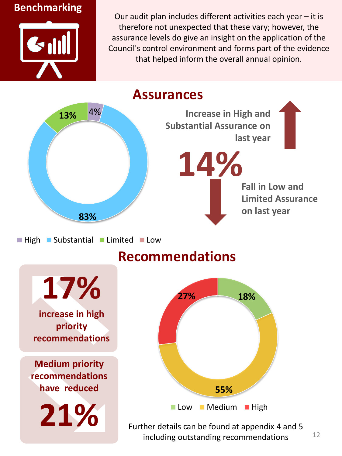#### **Benchmarking**



Our audit plan includes different activities each year – it is therefore not unexpected that these vary; however, the assurance levels do give an insight on the application of the Council's control environment and forms part of the evidence that helped inform the overall annual opinion.

#### **Assurances**



**Increase in High and Substantial Assurance on last year**

> **Fall in Low and Limited Assurance on last year 14%**

 $\blacksquare$  High  $\blacksquare$  Substantial  $\blacksquare$  Limited  $\blacksquare$  Low

#### **Recommendations**



**increase in high priority recommendations**

**Medium priority recommendations have reduced**





Further details can be found at appendix 4 and 5 including outstanding recommendations  $12$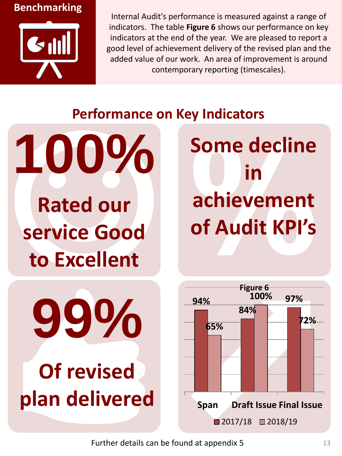#### **Benchmarking**



Internal Audit's performance is measured against a range of indicators. The table **Figure 6** shows our performance on key indicators at the end of the year. We are pleased to report a good level of achievement delivery of the revised plan and the added value of our work. An area of improvement is around contemporary reporting (timescales).

#### **Performance on Key Indicators**

**Rated our service Good to Excellent 100%**  **Some decline in achievement of Audit KPI's**





Further details can be found at appendix 5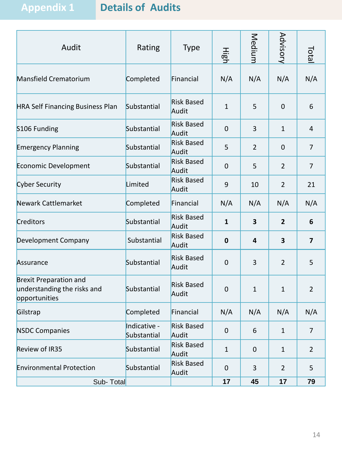**Appendix 1 Details of Audits**

| Audit                                                                         | Rating                      | <b>Type</b>                | <b>High</b>  | Medium         | Advisory       | Total                   |
|-------------------------------------------------------------------------------|-----------------------------|----------------------------|--------------|----------------|----------------|-------------------------|
| Mansfield Crematorium                                                         | Completed                   | Financial                  | N/A          | N/A            | N/A            | N/A                     |
| <b>HRA Self Financing Business Plan</b>                                       | Substantial                 | <b>Risk Based</b><br>Audit | $\mathbf{1}$ | 5              | $\mathbf 0$    | 6                       |
| S106 Funding                                                                  | Substantial                 | <b>Risk Based</b><br>Audit | $\mathbf 0$  | 3              | $\mathbf{1}$   | 4                       |
| <b>Emergency Planning</b>                                                     | Substantial                 | <b>Risk Based</b><br>Audit | 5            | $\overline{2}$ | $\mathbf 0$    | 7                       |
| Economic Development                                                          | Substantial                 | <b>Risk Based</b><br>Audit | $\mathbf 0$  | 5              | $\overline{2}$ | 7                       |
| <b>Cyber Security</b>                                                         | Limited                     | <b>Risk Based</b><br>Audit | 9            | 10             | $\overline{2}$ | 21                      |
| Newark Cattlemarket                                                           | Completed                   | Financial                  | N/A          | N/A            | N/A            | N/A                     |
| Creditors                                                                     | Substantial                 | <b>Risk Based</b><br>Audit | 1            | 3              | $\overline{2}$ | 6                       |
| Development Company                                                           | Substantial                 | <b>Risk Based</b><br>Audit | $\mathbf 0$  | 4              | 3              | $\overline{\mathbf{z}}$ |
| Assurance                                                                     | Substantial                 | <b>Risk Based</b><br>Audit | $\mathbf 0$  | 3              | $\overline{2}$ | 5                       |
| <b>Brexit Preparation and</b><br>understanding the risks and<br>opportunities | Substantial                 | <b>Risk Based</b><br>Audit | $\mathbf 0$  | $\mathbf{1}$   | $\mathbf{1}$   | $\overline{2}$          |
| Gilstrap                                                                      | Completed                   | Financial                  | N/A          | N/A            | N/A            | N/A                     |
| <b>NSDC Companies</b>                                                         | Indicative -<br>Substantial | <b>Risk Based</b><br>Audit | $\mathbf 0$  | 6              | $\mathbf{1}$   | $\overline{7}$          |
| Review of IR35                                                                | Substantial                 | <b>Risk Based</b><br>Audit | $\mathbf{1}$ | $\mathbf 0$    | $\mathbf{1}$   | $\overline{2}$          |
| <b>Environmental Protection</b>                                               | Substantial                 | <b>Risk Based</b><br>Audit | $\mathbf 0$  | 3              | $\overline{2}$ | 5                       |
| Sub-Total                                                                     |                             |                            | 17           | 45             | 17             | 79                      |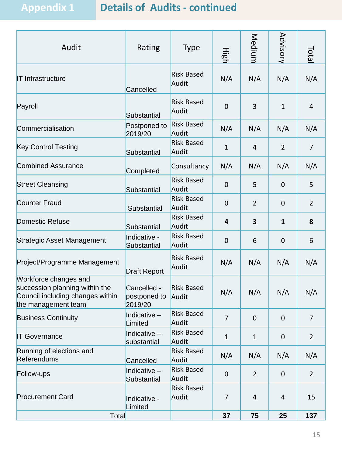#### **Appendix 1 Details of Audits - continued**

| Audit                                                                                                              | Rating                                 | <b>Type</b>                | High           | Medium         | Advisory         | Total          |
|--------------------------------------------------------------------------------------------------------------------|----------------------------------------|----------------------------|----------------|----------------|------------------|----------------|
| <b>IT Infrastructure</b>                                                                                           | Cancelled                              | <b>Risk Based</b><br>Audit | N/A            | N/A            | N/A              | N/A            |
| Payroll                                                                                                            | Substantial                            | <b>Risk Based</b><br>Audit | $\overline{0}$ | 3              | $\mathbf{1}$     | $\overline{4}$ |
| Commercialisation                                                                                                  | Postponed to<br>2019/20                | <b>Risk Based</b><br>Audit | N/A            | N/A            | N/A              | N/A            |
| <b>Key Control Testing</b>                                                                                         | Substantial                            | <b>Risk Based</b><br>Audit | $\mathbf{1}$   | 4              | $\overline{2}$   | $\overline{7}$ |
| <b>Combined Assurance</b>                                                                                          | Completed                              | Consultancy                | N/A            | N/A            | N/A              | N/A            |
| <b>Street Cleansing</b>                                                                                            | Substantial                            | <b>Risk Based</b><br>Audit | $\overline{0}$ | 5              | $\mathbf 0$      | 5              |
| <b>Counter Fraud</b>                                                                                               | Substantial                            | <b>Risk Based</b><br>Audit | $\mathbf 0$    | $\overline{2}$ | $\mathbf 0$      | $\overline{2}$ |
| <b>Domestic Refuse</b>                                                                                             | Substantial                            | <b>Risk Based</b><br>Audit | 4              | 3              | $\mathbf{1}$     | 8              |
| <b>Strategic Asset Management</b>                                                                                  | Indicative -<br>Substantial            | <b>Risk Based</b><br>Audit | 0              | 6              | $\mathbf 0$      | 6              |
| Project/Programme Management                                                                                       | <b>Draft Report</b>                    | <b>Risk Based</b><br>Audit | N/A            | N/A            | N/A              | N/A            |
| Workforce changes and<br>succession planning within the<br>Council including changes within<br>the management team | Cancelled -<br>postponed to<br>2019/20 | <b>Risk Based</b><br>Audit | N/A            | N/A            | N/A              | N/A            |
| <b>Business Continuity</b>                                                                                         | Indicative –<br>Limited                | <b>Risk Based</b><br>Audit | 7              | 0              | $\mathbf 0$      | 7              |
| <b>IT Governance</b>                                                                                               | Indicative -<br>substantial            | <b>Risk Based</b><br>Audit | $\mathbf{1}$   | $\mathbf{1}$   | $\mathbf 0$      | $\overline{2}$ |
| Running of elections and<br><b>Referendums</b>                                                                     | Cancelled                              | <b>Risk Based</b><br>Audit | N/A            | N/A            | N/A              | N/A            |
| Follow-ups                                                                                                         | Indicative $-$<br>Substantial          | <b>Risk Based</b><br>Audit | $\mathbf 0$    | $\overline{2}$ | $\boldsymbol{0}$ | $\overline{2}$ |
| <b>Procurement Card</b>                                                                                            | Indicative -<br>Limited                | <b>Risk Based</b><br>Audit | 7              | $\overline{4}$ | 4                | 15             |
| Total                                                                                                              |                                        |                            | 37             | 75             | 25               | 137            |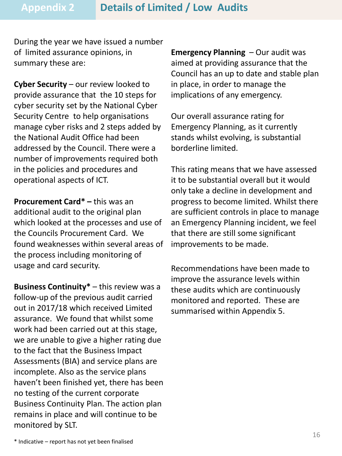During the year we have issued a number of limited assurance opinions, in summary these are:

**Cyber Security** – our review looked to provide assurance that the 10 steps for cyber security set by the National Cyber Security Centre to help organisations manage cyber risks and 2 steps added by the National Audit Office had been addressed by the Council. There were a number of improvements required both in the policies and procedures and operational aspects of ICT.

**Procurement Card\* –** this was an additional audit to the original plan which looked at the processes and use of the Councils Procurement Card. We found weaknesses within several areas of the process including monitoring of usage and card security.

**Business Continuity\*** – this review was a follow-up of the previous audit carried out in 2017/18 which received Limited assurance. We found that whilst some work had been carried out at this stage, we are unable to give a higher rating due to the fact that the Business Impact Assessments (BIA) and service plans are incomplete. Also as the service plans haven't been finished yet, there has been no testing of the current corporate Business Continuity Plan. The action plan remains in place and will continue to be monitored by SLT.

**Emergency Planning** – Our audit was aimed at providing assurance that the Council has an up to date and stable plan in place, in order to manage the implications of any emergency.

Our overall assurance rating for Emergency Planning, as it currently stands whilst evolving, is substantial borderline limited.

This rating means that we have assessed it to be substantial overall but it would only take a decline in development and progress to become limited. Whilst there are sufficient controls in place to manage an Emergency Planning incident, we feel that there are still some significant improvements to be made.

Recommendations have been made to improve the assurance levels within these audits which are continuously monitored and reported. These are summarised within Appendix 5.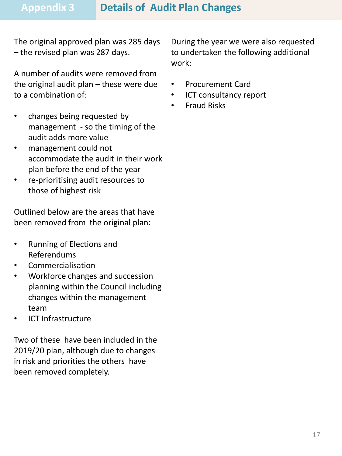The original approved plan was 285 days – the revised plan was 287 days.

A number of audits were removed from the original audit plan – these were due to a combination of:

- changes being requested by management - so the timing of the audit adds more value
- management could not accommodate the audit in their work plan before the end of the year
- re-prioritising audit resources to those of highest risk

Outlined below are the areas that have been removed from the original plan:

- Running of Elections and Referendums
- Commercialisation
- Workforce changes and succession planning within the Council including changes within the management team
- ICT Infrastructure

Two of these have been included in the 2019/20 plan, although due to changes in risk and priorities the others have been removed completely.

During the year we were also requested to undertaken the following additional work:

- Procurement Card
- ICT consultancy report
- Fraud Risks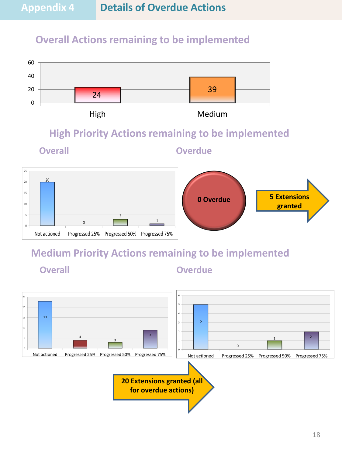#### **Overall Actions remaining to be implemented**



**High Priority Actions remaining to be implemented**

**Overall Overdue**



#### **Medium Priority Actions remaining to be implemented**

**Overall Overdue**

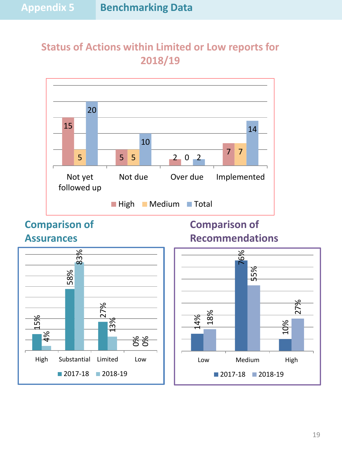#### **Status of Actions within Limited or Low reports for 2018/19**



**Comparison of Assurances**





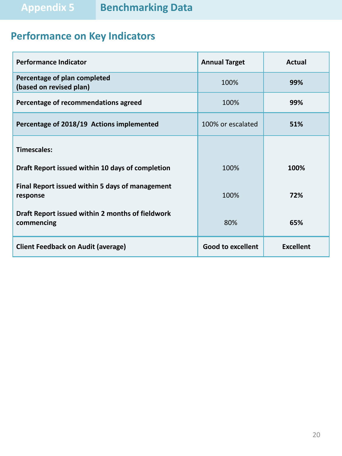#### **Performance on Key Indicators**

| <b>Performance Indicator</b>                                   | <b>Annual Target</b>     | <b>Actual</b>    |
|----------------------------------------------------------------|--------------------------|------------------|
| Percentage of plan completed<br>(based on revised plan)        | 100%                     | 99%              |
| Percentage of recommendations agreed                           | 100%                     | 99%              |
| Percentage of 2018/19 Actions implemented                      | 100% or escalated        | 51%              |
| <b>Timescales:</b>                                             |                          |                  |
| Draft Report issued within 10 days of completion               | 100%                     | 100%             |
| Final Report issued within 5 days of management<br>response    | 100%                     | 72%              |
| Draft Report issued within 2 months of fieldwork<br>commencing | 80%                      | 65%              |
| <b>Client Feedback on Audit (average)</b>                      | <b>Good to excellent</b> | <b>Excellent</b> |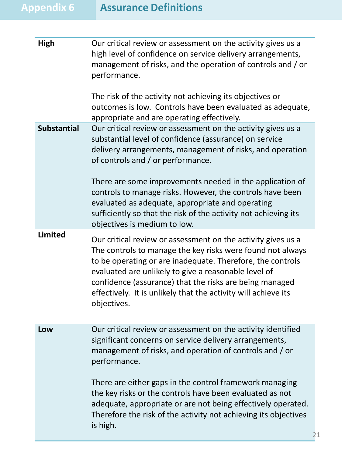| <b>High</b>        | Our critical review or assessment on the activity gives us a<br>high level of confidence on service delivery arrangements,<br>management of risks, and the operation of controls and / or<br>performance.                                                                                                                                                                                    |
|--------------------|----------------------------------------------------------------------------------------------------------------------------------------------------------------------------------------------------------------------------------------------------------------------------------------------------------------------------------------------------------------------------------------------|
|                    | The risk of the activity not achieving its objectives or<br>outcomes is low. Controls have been evaluated as adequate,<br>appropriate and are operating effectively.                                                                                                                                                                                                                         |
| <b>Substantial</b> | Our critical review or assessment on the activity gives us a<br>substantial level of confidence (assurance) on service<br>delivery arrangements, management of risks, and operation<br>of controls and / or performance.                                                                                                                                                                     |
|                    | There are some improvements needed in the application of<br>controls to manage risks. However, the controls have been<br>evaluated as adequate, appropriate and operating<br>sufficiently so that the risk of the activity not achieving its<br>objectives is medium to low.                                                                                                                 |
| <b>Limited</b>     | Our critical review or assessment on the activity gives us a<br>The controls to manage the key risks were found not always<br>to be operating or are inadequate. Therefore, the controls<br>evaluated are unlikely to give a reasonable level of<br>confidence (assurance) that the risks are being managed<br>effectively. It is unlikely that the activity will achieve its<br>objectives. |
| Low                | Our critical review or assessment on the activity identified<br>significant concerns on service delivery arrangements,<br>management of risks, and operation of controls and / or<br>performance.                                                                                                                                                                                            |
|                    | There are either gaps in the control framework managing<br>the key risks or the controls have been evaluated as not<br>adequate, appropriate or are not being effectively operated.<br>Therefore the risk of the activity not achieving its objectives<br>is high.                                                                                                                           |